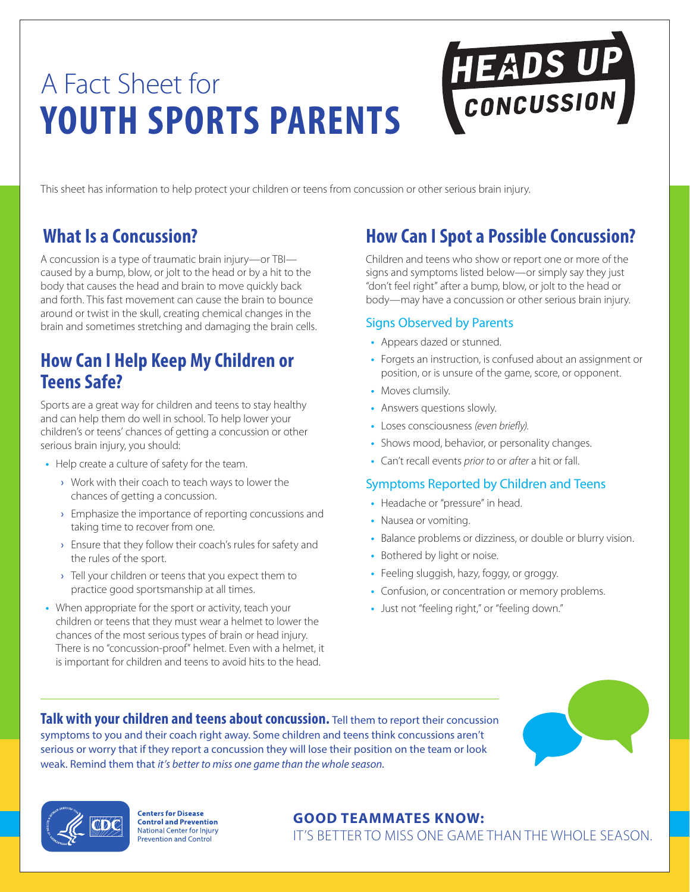# A Fact Sheet for **YOUTH SPORTS PARENTS**

This sheet has information to help protect your children or teens from concussion or other serious brain injury.

### **What Is a Concussion?**

A concussion is a type of traumatic brain injury—or TBI caused by a bump, blow, or jolt to the head or by a hit to the body that causes the head and brain to move quickly back and forth. This fast movement can cause the brain to bounce around or twist in the skull, creating chemical changes in the brain and sometimes stretching and damaging the brain cells.

### **How Can I Help Keep My Children or Teens Safe?**

Sports are a great way for children and teens to stay healthy and can help them do well in school. To help lower your children's or teens' chances of getting a concussion or other serious brain injury, you should:

- **•** Help create a culture of safety for the team.
	- **›** Work with their coach to teach ways to lower the chances of getting a concussion.
	- **›** Emphasize the importance of reporting concussions and taking time to recover from one.
	- **›** Ensure that they follow their coach's rules for safety and the rules of the sport.
	- **›** Tell your children or teens that you expect them to practice good sportsmanship at all times.
- **•** When appropriate for the sport or activity, teach your children or teens that they must wear a helmet to lower the chances of the most serious types of brain or head injury. There is no "concussion-proof" helmet. Even with a helmet, it is important for children and teens to avoid hits to the head.

## **How Can I Spot a Possible Concussion?**

HEADS UP

Children and teens who show or report one or more of the signs and symptoms listed below—or simply say they just "don't feel right" after a bump, blow, or jolt to the head or body—may have a concussion or other serious brain injury.

#### Signs Observed by Parents

- **•** Appears dazed or stunned.
- **•** Forgets an instruction, is confused about an assignment or position, or is unsure of the game, score, or opponent.
- **•** Moves clumsily.
- **•** Answers questions slowly.
- **•** Loses consciousness *(even briefly)*.
- **•** Shows mood, behavior, or personality changes.
- **•** Can't recall events *prior to* or *after* a hit or fall.

#### Symptoms Reported by Children and Teens

- **•** Headache or "pressure" in head.
- **•** Nausea or vomiting.
- **•** Balance problems or dizziness, or double or blurry vision.
- **•** Bothered by light or noise.
- **•** Feeling sluggish, hazy, foggy, or groggy.
- **•** Confusion, or concentration or memory problems.
- **•** Just not "feeling right," or "feeling down."

**Talk with your children and teens about concussion.** Tell them to report their concussion symptoms to you and their coach right away. Some children and teens think concussions aren't serious or worry that if they report a concussion they will lose their position on the team or look weak. Remind them that *it's better to miss one game than the whole season.*





**Centers for Disease Control and Prevention** National Center for Injury **Prevention and Control** 

### **GOOD TEAMMATES KNOW:**

IT'S BETTER TO MISS ONE GAME THAN THE WHOLE SEASON.